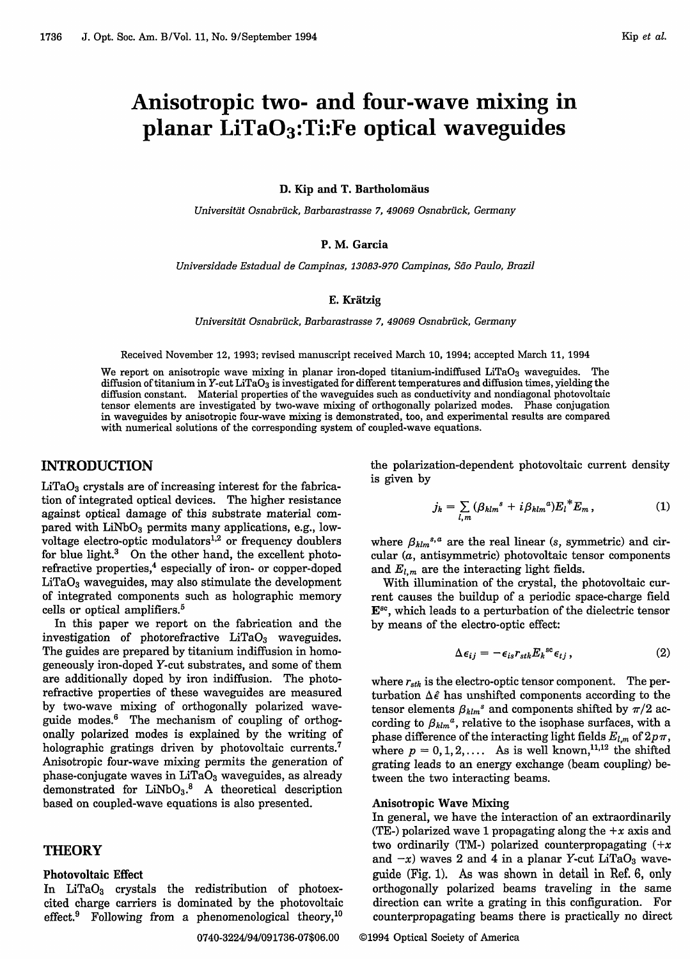# Anisotropic two- and four-wave mixing in planar  $LiTaO_3$ :Ti:Fe optical waveguides

D. Kip and T. Bartholomäus

Universität Osnabrück, Barbarastrasse 7, 49069 Osnabrück, Germany

# P. M. Garcia

*Universidade Estadual de Campinas, 13083-970 Campinas, Sdo Paulo, Brazil*

#### E. Kratzig

Universität Osnabrück, Barbarastrasse 7, 49069 Osnabrück, Germany

Received November 12, 1993; revised manuscript received March 10, 1994; accepted March 11, 1994

We report on anisotropic wave mixing in planar iron-doped titanium-indiffused  $LiTaO<sub>3</sub>$  waveguides. The diffusion of titanium in Y-cut LiTaO<sub>3</sub> is investigated for different temperatures and diffusion times, yielding the diffusion constant. Material properties of the waveguides such as conductivity and nondiagonal photovoltaic tensor elements are investigated by two-wave mixing of orthogonally polarized modes. Phase conjugation in waveguides by anisotropic four-wave mixing is demonstrated, too, and experimental results are compared with numerical solutions of the corresponding system of coupled-wave equations.

# INTRODUCTION

 $LiTaO<sub>3</sub>$  crystals are of increasing interest for the fabrication of integrated optical devices. The higher resistance against optical damage of this substrate material compared with  $LiNbO<sub>3</sub>$  permits many applications, e.g., lowvoltage electro-optic modulators<sup>1,2</sup> or frequency doublers for blue light.<sup>3</sup> On the other hand, the excellent photorefractive properties,<sup>4</sup> especially of iron- or copper-doped  $LiTaO<sub>3</sub>$  waveguides, may also stimulate the development of integrated components such as holographic memory cells or optical amplifiers.<sup>5</sup>

In this paper we report on the fabrication and the investigation of photorefractive  $LiTaO<sub>3</sub>$  waveguides. The guides are prepared by titanium indiffusion in homogeneously iron-doped Y-cut substrates, and some of them are additionally doped by iron indiffusion. The photorefractive properties of these waveguides are measured by two-wave mixing of orthogonally polarized waveguide modes.6 The mechanism of coupling of orthogonally polarized modes is explained by the writing of holographic gratings driven by photovoltaic currents.<sup>7</sup> Anisotropic four-wave mixing permits the generation of phase-conjugate waves in  $LiTaO<sub>3</sub>$  waveguides, as already demonstrated for  $LiNbO<sub>3</sub>$ .<sup>8</sup> A theoretical description based on coupled-wave equations is also presented.

# **THEORY**

## **Photovoltaic Effect**

In LiTaO<sub>3</sub> crystals the redistribution of photoexcited charge carriers is dominated by the photovoltaic effect.<sup>9</sup> Following from a phenomenological theory,<sup>10</sup>

the polarization-dependent photovoltaic current density is given by

$$
j_k = \sum_{l,m} (\beta_{klm}{}^s + i \beta_{klm}{}^a) {E_l}^* E_m, \qquad (1)
$$

where  $\beta_{klm}^{s,a}$  are the real linear (s, symmetric) and circular (a, antisymmetric) photovoltaic tensor components and  $E_{l,m}$  are the interacting light fields.

With illumination of the crystal, the photovoltaic current causes the buildup of a periodic space-charge field  $E^{sc}$ , which leads to a perturbation of the dielectric tensor by means of the electro-optic effect:

$$
\Delta \epsilon_{ij} = -\epsilon_{is} r_{stk} E_k^{sc} \epsilon_{tj} , \qquad (2)
$$

where  $r_{stk}$  is the electro-optic tensor component. The perturbation  $\Delta \hat{\epsilon}$  has unshifted components according to the tensor elements  $\beta_{\text{klm}}^s$  and components shifted by  $\pi/2$  according to  $\beta_{klm}{}^a$ , relative to the isophase surfaces, with a phase difference of the interacting light fields  $E_{l,m}$  of  $2p\pi$ , where  $p = 0, 1, 2, \ldots$  As is well known,<sup>11,12</sup> the shifted grating leads to an energy exchange (beam coupling) between the two interacting beams.

#### **Anisotropic Wave Mixing**

In general, we have the interaction of an extraordinarily (TE-) polarized wave 1 propagating along the  $+x$  axis and two ordinarily (TM-) polarized counterpropagating  $(+x$ and  $-x$ ) waves 2 and 4 in a planar Y-cut LiTaO<sub>3</sub> waveguide (Fig. 1). As was shown in detail in Ref. 6, only orthogonally polarized beams traveling in the same direction can write a grating in this configuration. For counterpropagating beams there is practically no direct

## 0740-3224/94/091736-07\$06.00 ©1994 Optical Society of America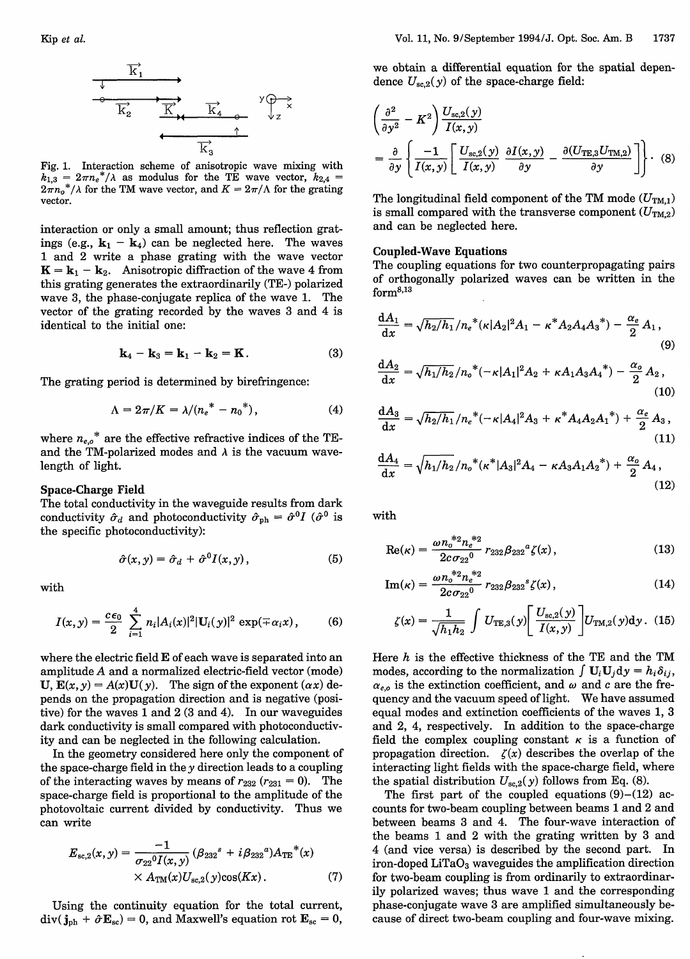

Fig. 1. Interaction scheme of anisotropic wave mixing with  $k_{1,3} = 2\pi n_e^*/\lambda$  as modulus for the TE wave vector,  $k_{2,4} = 2\pi n_o^*/\lambda$  for the TM wave vector, and  $K = 2\pi/\Lambda$  for the grating vector.

interaction or only a small amount; thus reflection gratings (e.g.,  $\mathbf{k}_1 - \mathbf{k}_4$ ) can be neglected here. The waves 1 and 2 write a phase grating with the wave vector  $K = k_1 - k_2$ . Anisotropic diffraction of the wave 4 from this grating generates the extraordinarily (TE-) polarized wave 3, the phase-conjugate replica of the wave 1. The vector of the grating recorded by the waves 3 and 4 is identical to the initial one:

$$
\mathbf{k}_4 - \mathbf{k}_3 = \mathbf{k}_1 - \mathbf{k}_2 = \mathbf{K}.
$$
 (3)

The grating period is determined by birefringence:

$$
\Lambda = 2\pi/K = \lambda/(n_e^* - n_0^*), \tag{4}
$$

where  $n_{e,o}^*$  are the effective refractive indices of the TEand the TM-polarized modes and  $\lambda$  is the vacuum wavelength of light.

## **Space-Charge Field**

The total conductivity in the waveguide results from dark conductivity  $\hat{\sigma}_d$  and photoconductivity  $\hat{\sigma}_{ph} = \hat{\sigma}^0 I$  ( $\hat{\sigma}^0$  is the specific photoconductivity):

$$
\hat{\sigma}(x, y) = \hat{\sigma}_d + \hat{\sigma}^0 I(x, y), \tag{5}
$$

with

$$
I(x,y) = \frac{c\epsilon_0}{2} \sum_{i=1}^{4} n_i |A_i(x)|^2 |\mathbf{U}_i(y)|^2 \exp(\mp \alpha_i x), \quad (6)
$$

where the electric field E of each wave is separated into an amplitude A and a normalized electric-field vector (mode) **U**,  $\mathbf{E}(x, y) = A(x)\mathbf{U}(y)$ . The sign of the exponent  $(\alpha x)$  depends on the propagation direction and is negative (positive) for the waves 1 and 2 (3 and 4). In our waveguides dark conductivity is small compared with photoconductivity and can be neglected in the following calculation.

In the geometry considered here only the component of the space-charge field in the  $y$  direction leads to a coupling of the interacting waves by means of  $r_{232}$  ( $r_{231} = 0$ ). The space-charge field is proportional to the amplitude of the photovoltaic current divided by conductivity. Thus we can write

$$
E_{\text{sc},2}(x,y) = \frac{-1}{\sigma_{22}{}^{0}I(x,y)} (\beta_{232}{}^{s} + i \beta_{232}{}^{a}) A_{\text{TE}}{}^{*}(x) \times A_{\text{TM}}(x) U_{\text{sc},2}(y) \cos(Kx).
$$
 (7)

Using the continuity equation for the total current,  $div(j_{ph} + \hat{\sigma}E_{sc}) = 0$ , and Maxwell's equation rot  $E_{sc} = 0$ , we obtain a differential equation for the spatial dependence  $U_{sc,2}(y)$  of the space-charge field:

$$
\left(\frac{\partial^2}{\partial y^2} - K^2\right) \frac{U_{\text{sc},2}(y)}{I(x,y)}
$$
\n
$$
= \frac{\partial}{\partial y} \left\{ \frac{-1}{I(x,y)} \left[ \frac{U_{\text{sc},2}(y)}{I(x,y)} \frac{\partial I(x,y)}{\partial y} - \frac{\partial (U_{\text{TE},3} U_{\text{TM},2})}{\partial y} \right] \right\}.
$$
 (8)

The longitudinal field component of the TM mode  $(U_{TM,1})$ is small compared with the transverse component  $(U_{TM,2})$ and can be neglected here.

#### **Coupled-Wave Equations**

The coupling equations for two counterpropagating pairs of orthogonally polarized waves can be written in the  $form<sup>8,13</sup>$ 

$$
\frac{dA_1}{dx} = \sqrt{h_2/h_1}/n_e^*(\kappa|A_2|^2A_1 - \kappa^*A_2A_4A_3^*) - \frac{\alpha_e}{2}A_1,
$$
\n(9)

$$
\frac{dA_2}{dx} = \sqrt{h_1/h_2}/n_o^*(-\kappa|A_1|^2A_2 + \kappa A_1A_3A_4^*) - \frac{\alpha_o}{2}A_2,
$$
\n(10)

$$
\frac{dA_3}{dx} = \sqrt{h_2/h_1}/n_e^*(-\kappa|A_4|^2A_3 + \kappa^*A_4A_2A_1^*) + \frac{\alpha_e}{2}A_3,
$$
\n(11)

$$
\frac{\mathrm{d}A_4}{\mathrm{d}x} = \sqrt{h_1/h_2}/n_o^*(\kappa^*|A_3|^2 A_4 - \kappa A_3 A_1 A_2^*) + \frac{\alpha_o}{2} A_4,\tag{12}
$$

with

$$
\text{Re}(\kappa) = \frac{\omega n_o^{*2} n_e^{*2}}{2c \sigma_{22}^0} r_{232} \beta_{232}^a \zeta(x), \qquad (13)
$$

$$
\operatorname{Im}(\kappa) = \frac{\omega n_o^{*2} n_e^{*2}}{2c \sigma_{22}^0} r_{232} \beta_{232}^s \zeta(x), \qquad (14)
$$

$$
\zeta(x) = \frac{1}{\sqrt{h_1 h_2}} \int U_{\text{TE},3}(y) \left[ \frac{U_{\text{sc},2}(y)}{I(x,y)} \right] U_{\text{TM},2}(y) dy. (15)
$$

Here  $h$  is the effective thickness of the TE and the TM modes, according to the normalization  $\int \mathbf{U}_i \mathbf{U}_j dy = h_i \delta_{ij}$ ,  $\alpha_{e,o}$  is the extinction coefficient, and  $\omega$  and c are the frequency and the vacuum speed of light. We have assumed equal modes and extinction coefficients of the waves 1, 3 and 2, 4, respectively. In addition to the space-charge field the complex coupling constant  $\kappa$  is a function of propagation direction.  $\zeta(x)$  describes the overlap of the interacting light fields with the space-charge field, where the spatial distribution  $U_{sc,2}(y)$  follows from Eq. (8).

The first part of the coupled equations  $(9)$ – $(12)$  accounts for two-beam coupling between beams 1 and 2 and between beams 3 and 4. The four-wave interaction of the beams 1 and 2 with the grating written by 3 and 4 (and vice versa) is described by the second part. In  $i$ ron-doped LiTa $O<sub>3</sub>$  waveguides the amplification direction for two-beam coupling is from ordinarily to extraordinarily polarized waves; thus wave 1 and the corresponding phase-conjugate wave 3 are amplified simultaneously because of direct two-beam coupling and four-wave mixing.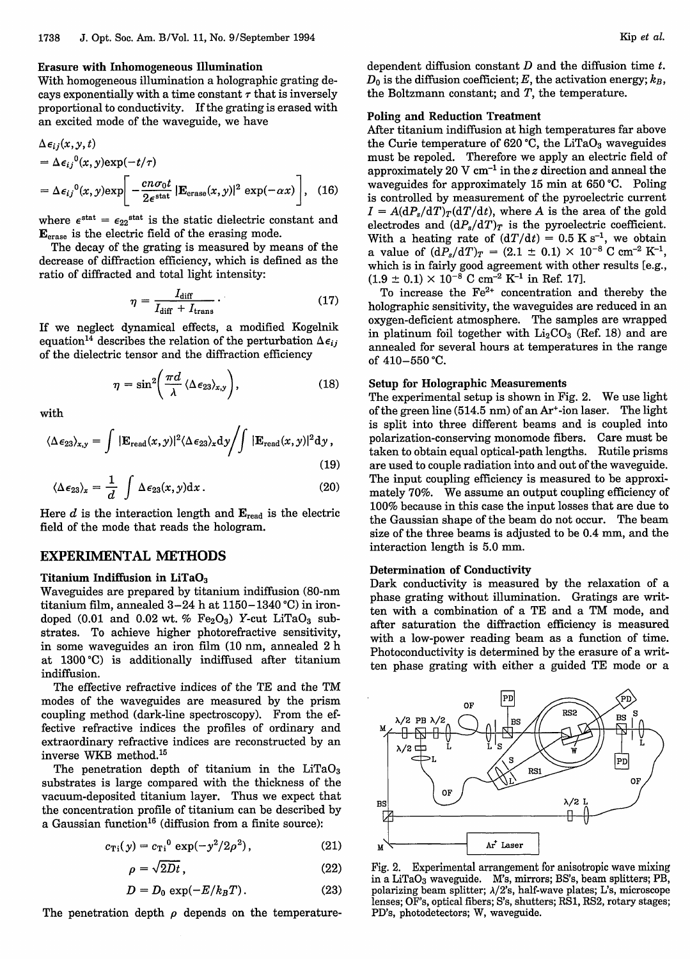## **Erasure with Inhomogeneous Illumination**

With homogeneous illumination a holographic grating decays exponentially with a time constant  $\tau$  that is inversely proportional to conductivity. If the grating is erased with an excited mode of the waveguide, we have

$$
\Delta \epsilon_{ij}(x, y, t)
$$
  
=  $\Delta \epsilon_{ij}^{0}(x, y) \exp(-t/\tau)$   
=  $\Delta \epsilon_{ij}^{0}(x, y) \exp\left[-\frac{cn\sigma_{0}t}{2\epsilon^{\text{stat}}}| \mathbf{E}_{\text{erase}}(x, y)|^{2} \exp(-\alpha x)\right],$  (16)

where  $\epsilon^{\text{stat}} = \epsilon_{22}^{\text{stat}}$  is the static dielectric constant and  $\mathbf{E}_{\text{erase}}$  is the electric field of the erasing mode.

The decay of the grating is measured by means of the decrease of diffraction efficiency, which is defined as the ratio of diffracted and total light intensity:

$$
\eta = \frac{I_{\text{diff}}}{I_{\text{diff}} + I_{\text{trans}}} \,. \tag{17}
$$

If we neglect dynamical effects, a modified Kogelnik equation<sup>14</sup> describes the relation of the perturbation  $\Delta \epsilon_{ij}$ of the dielectric tensor and the diffraction efficiency

$$
\eta = \sin^2\!\left(\frac{\pi d}{\lambda} \langle \Delta \epsilon_{23} \rangle_{x,y}\right),\tag{18}
$$

with

$$
\langle \Delta \epsilon_{23} \rangle_{x,y} = \int |\mathbf{E}_{\text{read}}(x,y)|^2 \langle \Delta \epsilon_{23} \rangle_x \mathrm{d}y / \int |\mathbf{E}_{\text{read}}(x,y)|^2 \mathrm{d}y , \tag{19}
$$

$$
\langle \Delta \epsilon_{23} \rangle_x = \frac{1}{d} \int \Delta \epsilon_{23}(x, y) \mathrm{d}x \,. \tag{20}
$$

Here  $d$  is the interaction length and  $\mathbf{E}_{\text{read}}$  is the electric field of the mode that reads the hologram.

# EXPERIMENTAL METHODS

# **Titanium Indiffusion in LiTaO3**

Waveguides are prepared by titanium indiffusion (80-nm titanium film, annealed 3-24 h at 1150-1340°C) in irondoped (0.01 and 0.02 wt. %  $Fe<sub>2</sub>O<sub>3</sub>$ ) Y-cut LiTaO<sub>3</sub> substrates. To achieve higher photorefractive sensitivity, in some waveguides an iron film (10 nm, annealed 2 h at 1300°C) is additionally indiffused after titanium indiffusion.

The effective refractive indices of the TE and the TM modes of the waveguides are measured by the prism coupling method (dark-line spectroscopy). From the effective refractive indices the profiles of ordinary and extraordinary refractive indices are reconstructed by an inverse WKB method.'<sup>5</sup>

The penetration depth of titanium in the  $LiTaO<sub>3</sub>$ substrates is large compared with the thickness of the vacuum-deposited titanium layer. Thus we expect that the concentration profile of titanium can be described by a Gaussian function'<sup>6</sup> (diffusion from a finite source):

$$
c_{\rm Ti}(\,y) = c_{\rm Ti}^{\ 0} \, \exp(-y^2/2\rho^2)\,,\tag{21}
$$

$$
\rho = \sqrt{2Dt} \,, \tag{22}
$$

$$
D = D_0 \exp(-E/k_B T). \tag{23}
$$

The penetration depth  $\rho$  depends on the temperature-

dependent diffusion constant *D* and the diffusion time t.  $D_0$  is the diffusion coefficient; E, the activation energy;  $k_B$ , the Boltzmann constant; and *T,* the temperature.

# **Poling and Reduction Treatment**

After titanium indiffusion at high temperatures far above the Curie temperature of  $620$  °C, the LiTaO<sub>3</sub> waveguides must be repoled. Therefore we apply an electric field of approximately 20 V cm<sup>-1</sup> in the z direction and anneal the waveguides for approximately 15 min at 650'C. Poling is controlled by measurement of the pyroelectric current  $I = A(dP_s/dT)_T(dT/dt)$ , where A is the area of the gold electrodes and  $(dP_s/dT)_T$  is the pyroelectric coefficient. With a heating rate of  $(dT/dt) = 0.5$  K s<sup>-1</sup>, we obtain a value of  $(dP_s/dT)_T = (2.1 \pm 0.1) \times 10^{-8}$  C cm<sup>-2</sup> K<sup>-1</sup>, which is in fairly good agreement with other results [e.g.,  $(1.9 \pm 0.1) \times 10^{-8}$  C cm<sup>-2</sup> K<sup>-1</sup> in Ref. 17].

To increase the **Fe2+** concentration and thereby the holographic sensitivity, the waveguides are reduced in an oxygen-deficient atmosphere. The samples are wrapped in platinum foil together with  $Li<sub>2</sub>CO<sub>3</sub>$  (Ref. 18) and are annealed for several hours at temperatures in the range of  $410 - 550$  °C.

## **Setup for Holographic Measurements**

The experimental setup is shown in Fig. 2. We use light of the green line (514.5 nm) of an Ar+-ion laser. The light is split into three different beams and is coupled into polarization-conserving monomode fibers. Care must be taken to obtain equal optical-path lengths. Rutile prisms are used to couple radiation into and out of the waveguide. The input coupling efficiency is measured to be approximately 70%. We assume an output coupling efficiency of 100% because in this case the input losses that are due to the Gaussian shape of the beam do not occur. The beam size of the three beams is adjusted to be 0.4 mm, and the interaction length is 5.0 mm.

#### **Determination of Conductivity**

Dark conductivity is measured by the relaxation of a phase grating without illumination. Gratings are written with a combination of a TE and a TM mode, and after saturation the diffraction efficiency is measured with a low-power reading beam as a function of time. Photoconductivity is determined by the erasure of a written phase grating with either a guided TE mode or a



Fig. 2. Experimental arrangement for anisotropic wave mixing in a LiTaO<sub>3</sub> waveguide. M's, mirrors; BS's, beam splitters; PB, polarizing beam splitter;  $\lambda/2$ 's, half-wave plates; L's, microscope lenses; OF's, optical fibers; S's, shutters; RS1, RS2, rotary stages; PD's, photodetectors; W, waveguide.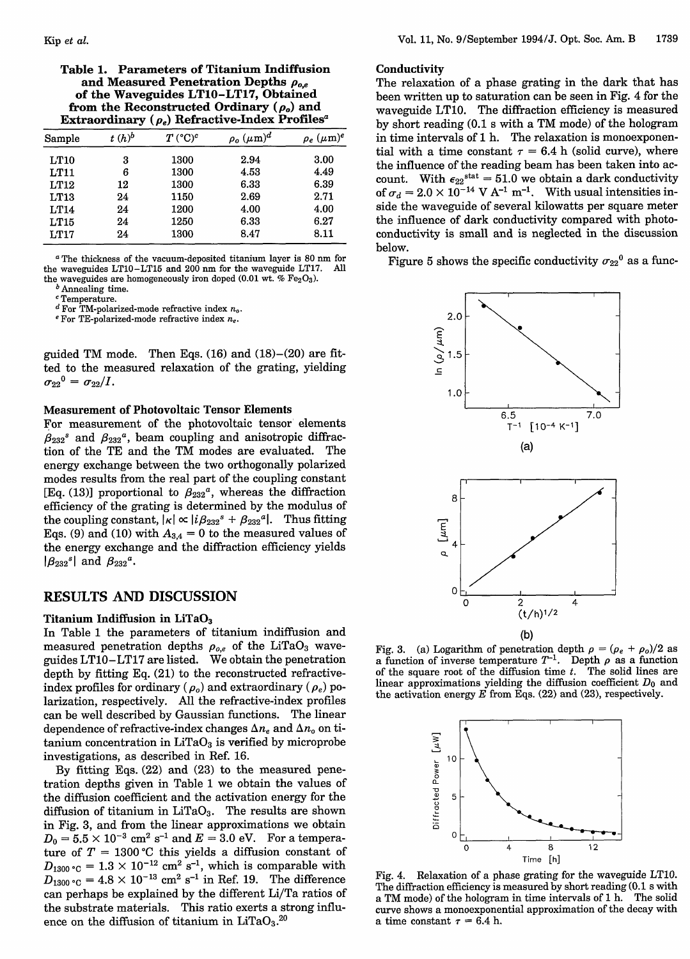| Sample | $t(h)^b$ | $T({}^{\circ}C)^c$ | $\rho_o~(\mu \text{m})^d$ | $\rho_e$ $(\mu m)^e$ |
|--------|----------|--------------------|---------------------------|----------------------|
| LT10   | 3        | 1300               | 2.94                      | 3.00                 |
| LT11   | 6        | 1300               | 4.53                      | 4.49                 |
| LT12   | 12       | 1300               | 6.33                      | 6.39                 |
| LT13   | 24       | 1150               | 2.69                      | 2.71                 |
| LT14   | 24       | 1200               | 4.00                      | 4.00                 |
| LT15   | 24       | 1250               | 6.33                      | 6.27                 |
| LT17   | 24       | 1300               | 8.47                      | 8.11                 |

<sup>*a*</sup> The thickness of the vacuum-deposited titanium layer is 80 nm for exaveguides LT10-LT15 and 200 nm for the waveguide LT17. All the waveguides  $LT10-LT15$  and  $200$  nm for the waveguide LT17. the waveguides are homogeneously iron doped (0.01 wt.  $% Fe<sub>2</sub>O<sub>3</sub>$ ).

*b* Annealing time.

 $c$  Temperature.

*d* For TM-polarized-mode refractive index  $n_o$ .<br>
<sup>*e*</sup> For TE-polarized-mode refractive index  $n_e$ .

guided TM mode. Then Eqs. (16) and (18)-(20) are fitted to the measured relaxation of the grating, yielding  $\sigma_{22}^0 = \sigma_{22}/I$ .

## **Measurement of Photovoltaic Tensor Elements**

For measurement of the photovoltaic tensor elements  $\beta_{232}$ <sup>8</sup> and  $\beta_{232}$ <sup>a</sup>, beam coupling and anisotropic diffraction of the TE and the TM modes are evaluated. The energy exchange between the two orthogonally polarized modes results from the real part of the coupling constant [Eq. (13)] proportional to  $\beta_{232}{}^a$ , whereas the diffraction efficiency of the grating is determined by the modulus of the coupling constant,  $|\kappa| \propto |i \beta_{232}^s + \beta_{232}^a|$ . Thus fitting Eqs. (9) and (10) with  $A_{3,4} = 0$  to the measured values of the energy exchange and the diffraction efficiency yields  $|\beta_{232}^s|$  and  $\beta_{232}^a$ .

## RESULTS AND **DISCUSSION**

## **Titanium Indiffusion in LiTaO3**

In Table 1 the parameters of titanium indiffusion and measured penetration depths  $\rho_{o,e}$  of the LiTaO<sub>3</sub> waveguides LT10-LT17 are listed. We obtain the penetration depth by fitting Eq. (21) to the reconstructed refractiveindex profiles for ordinary  $(\rho_o)$  and extraordinary  $(\rho_e)$  polarization, respectively. All the refractive-index profiles can be well described by Gaussian functions. The linear dependence of refractive-index changes  $\Delta n_e$  and  $\Delta n_o$  on titanium concentration in  $LiTaO<sub>3</sub>$  is verified by microprobe investigations, as described in Ref. 16.

By fitting Eqs. (22) and (23) to the measured penetration depths given in Table 1 we obtain the values of the diffusion coefficient and the activation energy for the diffusion of titanium in  $LiTaO<sub>3</sub>$ . The results are shown in Fig. 3, and from the linear approximations we obtain  $D_0 = 5.5 \times 10^{-3}$  cm<sup>2</sup> s<sup>-1</sup> and  $E = 3.0$  eV. For a temperature of  $T = 1300$  °C this yields a diffusion constant of  $D_{1300\text{ °C}} = 1.3 \times 10^{-12} \text{ cm}^2 \text{ s}^{-1}$ , which is comparable with  $D_{1300}^{1300}$  c = 4.8  $\times$  10<sup>-13</sup> cm<sup>2</sup> s<sup>-1</sup> in Ref. 19. The difference can perhaps be explained by the different Li/Ta ratios of the substrate materials. This ratio exerts a strong influence on the diffusion of titanium in  $LiTaO<sub>3</sub>$ .<sup>20</sup>

## **Conductivity**

The relaxation of a phase grating in the dark that has been written up to saturation can be seen in Fig. 4 for the waveguide LT10. The diffraction efficiency is measured by short reading (0.1 s with a TM mode) of the hologram in time intervals of 1 h. The relaxation is monoexponential with a time constant  $\tau = 6.4$  h (solid curve), where the influence of the reading beam has been taken into account. With  $\epsilon_{22}^{\text{stat}} = 51.0$  we obtain a dark conductivity of  $\sigma_d = 2.0 \times 10^{-14}$  V A<sup>-1</sup> m<sup>-1</sup>. With usual intensities inside the waveguide of several kilowatts per square meter the influence of dark conductivity compared with photoconductivity is small and is neglected in the discussion below.

Figure 5 shows the specific conductivity  $\sigma_{22}^0$  as a func-



Fig. 3. (a) Logarithm of penetration depth  $\rho = (\rho_e + \rho_o)/2$  as a function of inverse temperature  $T^{-1}$ . Depth  $\rho$  as a function of the square root of the diffusion time  $t$ . The solid lines are linear approximations yielding the diffusion coefficient  $D_0$  and the activation energy  $E$  from Eqs. (22) and (23), respectively.



Fig. 4. Relaxation of a phase grating for the waveguide LT10. The diffraction efficiency is measured by short reading (0.1 s with a TM mode) of the hologram in time intervals of 1 h. The solid curve shows a monoexponential approximation of the decay with a time constant  $\tau = 6.4$  h.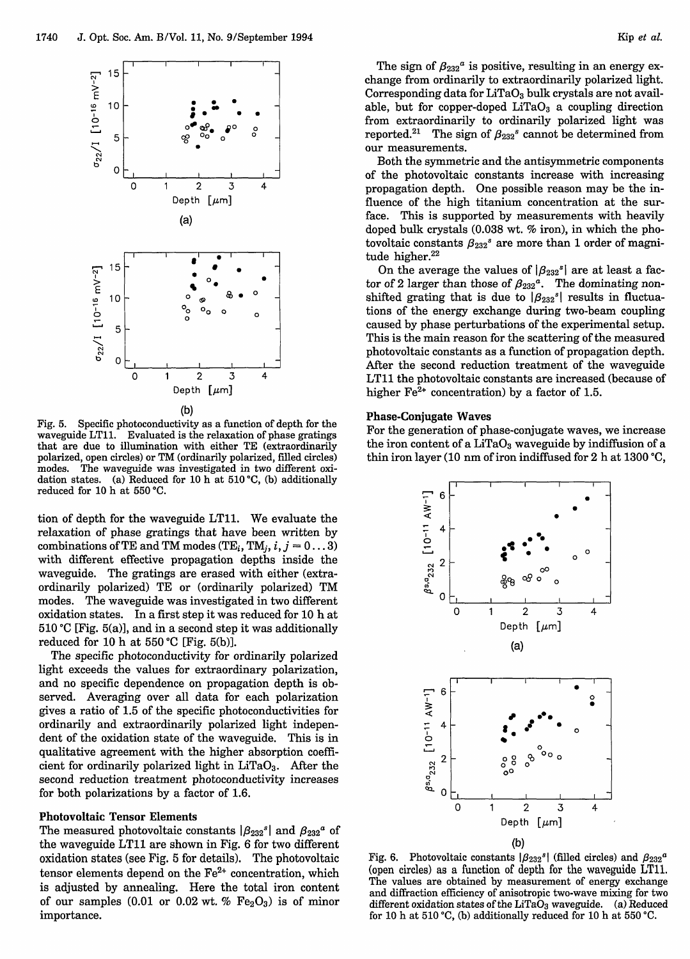

(b)

Fig. 5. Specific photoconductivity as a function of depth for the waveguide LT11. Evaluated is the relaxation of phase gratings that are due to illumination with either TE (extraordinarily polarized, open circles) or TM (ordinarily polarized, filled circles) modes. The waveguide was investigated in two different oxidation states. (a) Reduced for 10 h at 510 'C, (b) additionally reduced for 10 h at 550 °C.

tion of depth for the waveguide LT11. We evaluate the relaxation of phase gratings that have been written by combinations of TE and TM modes (TE<sub>i</sub>, TM<sub>i</sub>,  $i$ ,  $j = 0...3$ ) with different effective propagation depths inside the waveguide. The gratings are erased with either (extraordinarily polarized) TE or (ordinarily polarized) TM modes. The waveguide was investigated in two different oxidation states. In a first step it was reduced for 10 h at  $510$  °C [Fig.  $5(a)$ ], and in a second step it was additionally reduced for 10 h at  $550^{\circ}$ C [Fig. 5(b)].

The specific photoconductivity for ordinarily polarized light exceeds the values for extraordinary polarization, and no specific dependence on propagation depth is observed. Averaging over all data for each polarization gives a ratio of 1.5 of the specific photoconductivities for ordinarily and extraordinarily polarized light independent of the oxidation state of the waveguide. This is in qualitative agreement with the higher absorption coefficient for ordinarily polarized light in  $LiTaO<sub>3</sub>$ . After the second reduction treatment photoconductivity increases for both polarizations by a factor of 1.6.

### **Photovoltaic Tensor Elements**

The measured photovoltaic constants  $\left|\beta_{232}^s\right|$  and  $\beta_{232}^a$  of the waveguide LT11 are shown in Fig. 6 for two different oxidation states (see Fig. 5 for details). The photovoltaic tensor elements depend on the  $Fe<sup>2+</sup>$  concentration, which is adjusted by annealing. Here the total iron content of our samples (0.01 or 0.02 wt. %  $Fe<sub>2</sub>O<sub>3</sub>$ ) is of minor importance.

The sign of  $\beta_{232}$ <sup>*a*</sup> is positive, resulting in an energy exchange from ordinarily to extraordinarily polarized light. Corresponding data for LiTaO<sub>3</sub> bulk crystals are not available, but for copper-doped  $LiTaO<sub>3</sub>$  a coupling direction from extraordinarily to ordinarily polarized light was reported.<sup>21</sup> The sign of  $\beta_{232}$ <sup>s</sup> cannot be determined from our measurements.

Both the symmetric and the antisymmetric components of the photovoitaic constants increase with increasing propagation depth. One possible reason may be the influence of the high titanium concentration at the surface. This is supported by measurements with heavily doped bulk crystals (0.038 wt. % iron), in which the photovoltaic constants  $\beta_{232}$ <sup>s</sup> are more than 1 order of magnitude higher.<sup>22</sup>

On the average the values of  $|\beta_{232}^s|$  are at least a factor of 2 larger than those of  $\beta_{232}^a$ . The dominating nonshifted grating that is due to  $|\beta_{232}^s|$  results in fluctuations of the energy exchange during two-beam coupling caused by phase perturbations of the experimental setup. This is the main reason for the scattering of the measured photovoltaic constants as a function of propagation depth. After the second reduction treatment of the waveguide LT11 the photovoltaic constants are increased (because of higher  $\text{Fe}^{2+}$  concentration) by a factor of 1.5.

## **Phase-Conjugate Waves**

For the generation of phase-conjugate waves, we increase the iron content of a  $LiTaO<sub>3</sub>$  waveguide by indiffusion of a thin iron layer (10 nm of iron indiffused for 2 h at 1300 'C,



Fig. 6. Photovoltaic constants  $|\beta_{232}^s|$  (filled circles) and  $\beta_{232}^a$ (open circles) as a function of depth for the waveguide LT11. The values are obtained by measurement of energy exchange and diffraction efficiency of anisotropic two-wave mixing for two different oxidation states of the LiTa $O_3$  waveguide. (a) Reduced for 10 h at 510 °C, (b) additionally reduced for 10 h at 550 °C.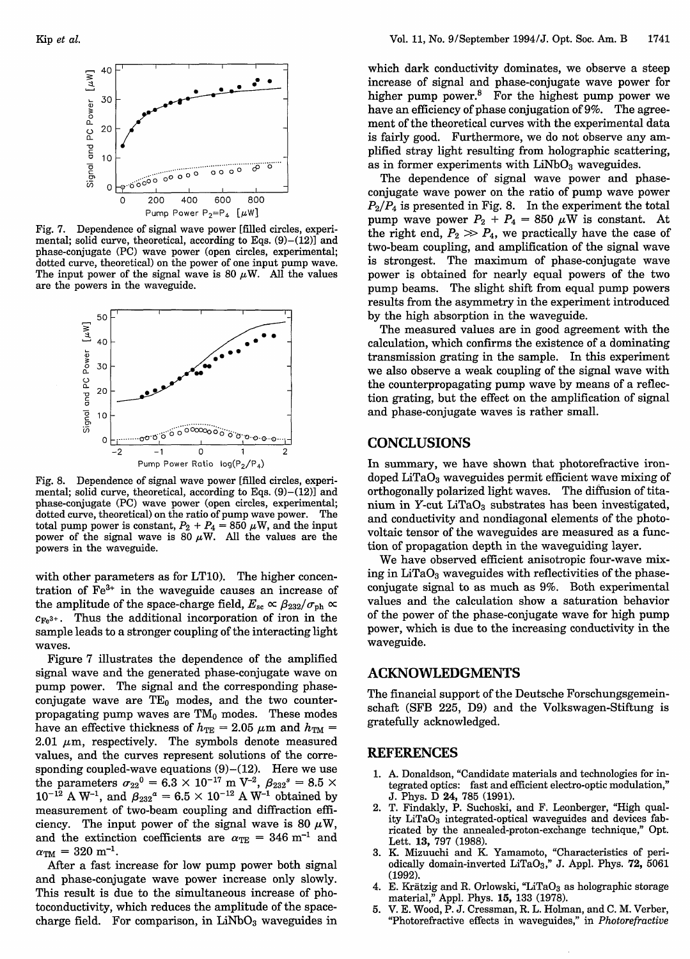

Fig. 7. Dependence of signal wave power [filled circles, experimental; solid curve, theoretical, according to Eqs.  $(9)$ – $(12)$ ] and phase-conjugate (PC) wave power (open circles, experimental; dotted curve, theoretical) on the power of one input pump wave. The input power of the signal wave is 80  $\mu$ W. All the values are the powers in the waveguide.



Fig. 8. Dependence of signal wave power [filled circles, experimental; solid curve, theoretical, according to Eqs.  $(9)$ – $(12)$ ] and phase-conjugate (PC) wave power (open circles, experimental; dotted curve, theoretical) on the ratio of pump wave power. The total pump power is constant,  $P_2 + P_4 = 850 \,\mu\text{W}$ , and the input power of the signal wave is 80  $\mu\text{W}$ . All the values are the powers in the waveguide.

with other parameters as for LT10). The higher concentration of Fe3+ in the waveguide causes an increase of the amplitude of the space-charge field,  $E_{\rm sc} \propto \beta_{232}/\sigma_{\rm ph} \propto$  $c_{\text{Fe}^{3+}}$ . Thus the additional incorporation of iron in the sample leads to a stronger coupling of the interacting light waves.

Figure 7 illustrates the dependence of the amplified signal wave and the generated phase-conjugate wave on pump power. The signal and the corresponding phaseconjugate wave are  $TE_0$  modes, and the two counterpropagating pump waves are  $TM_0$  modes. These modes have an effective thickness of  $h_{\text{TE}} = 2.05 \ \mu \text{m}$  and  $h_{\text{TM}} =$ 2.01  $\mu$ m, respectively. The symbols denote measured values, and the curves represent solutions of the corresponding coupled-wave equations  $(9)-(12)$ . Here we use the parameters  $\sigma_{22}^0 = 6.3 \times 10^{-17}$  m V<sup>-2</sup>,  $\beta_{232}^s = 8.5$  $10^{-12}$  A W<sup>-1</sup>, and  $\beta_{232}{}^{a}=6.5\times10^{-12}$  A W<sup>-1</sup> obtained by measurement of two-beam coupling and diffraction efficiency. The input power of the signal wave is 80  $\mu$ W, and the extinction coefficients are  $\alpha_{\text{TE}} = 346 \text{ m}^{-1}$  and  $\alpha_{TM} = 320$  m<sup>-1</sup>.

After a fast increase for low pump power both signal and phase-conjugate wave power increase only slowly. This result is due to the simultaneous increase of photoconductivity, which reduces the amplitude of the spacecharge field. For comparison, in  $LiNbO<sub>3</sub>$  waveguides in which dark conductivity dominates, we observe a steep increase of signal and phase-conjugate wave power for higher pump power.<sup>8</sup> For the highest pump power we have an efficiency of phase conjugation of 9%. The agreement of the theoretical curves with the experimental data is fairly good. Furthermore, we do not observe any amplified stray light resulting from holographic scattering, as in former experiments with  $LiNbO<sub>3</sub>$  waveguides.

The dependence of signal wave power and phaseconjugate wave power on the ratio of pump wave power *P2/P4* is presented in Fig. 8. In the experiment the total pump wave power  $P_2 + P_4 = 850 \mu W$  is constant. At the right end,  $P_2 \gg P_4$ , we practically have the case of two-beam coupling, and amplification of the signal wave is strongest. The maximum of phase-conjugate wave power is obtained for nearly equal powers of the two pump beams. The slight shift from equal pump powers results from the asymmetry in the experiment introduced by the high absorption in the waveguide.

The measured values are in good agreement with the calculation, which confirms the existence of a dominating transmission grating in the sample. In this experiment we also observe a weak coupling of the signal wave with the counterpropagating pump wave by means of a reflection grating, but the effect on the amplification of signal and phase-conjugate waves is rather small.

# **CONCLUSIONS**

In summary, we have shown that photorefractive irondoped  $LiTaO<sub>3</sub>$  waveguides permit efficient wave mixing of orthogonally polarized light waves. The diffusion of titanium in Y-cut  $LiTaO<sub>3</sub>$  substrates has been investigated, and conductivity and nondiagonal elements of the photovoltaic tensor of the waveguides are measured as a function of propagation depth in the waveguiding layer.

We have observed efficient anisotropic four-wave mixing in  $LiTaO<sub>3</sub>$  waveguides with reflectivities of the phaseconjugate signal to as much as 9%. Both experimental values and the calculation show a saturation behavior of the power of the phase-conjugate wave for high pump power, which is due to the increasing conductivity in the waveguide.

## ACKNOWLEDGMENTS

The financial support of the Deutsche Forschungsgemeinschaft (SFB 225, D9) and the Volkswagen-Stiftung is gratefully acknowledged.

#### REFERENCES

- 1. A. Donaldson, "Candidate materials and technologies for integrated optics: fast and efficient electro-optic modulation," J. Phys. D 24, 785 (1991).
- 2. T. Findakly, P. Suchoski, and F. Leonberger, "High quality LiTaO<sub>3</sub> integrated-optical waveguides and devices fabricated by the annealed-proton-exchange technique," Opt. Lett. 13, 797 (1988).
- 3. K. Mizuuchi and K. Yamamoto, "Characteristics of periodically domain-inverted LiTaO<sub>3</sub>," J. Appl. Phys. 72, 5061 (1992).
- 4. E. Krätzig and R. Orlowski, "LiTaO3 as holographic storage material," Appl. Phys. 15, 133 (1978).
- 5. V. E. Wood, P. J. Cressman, R. L. Holman, and C. M. Verber, "Photorefractive effects in waveguides," in *Photorefractive*